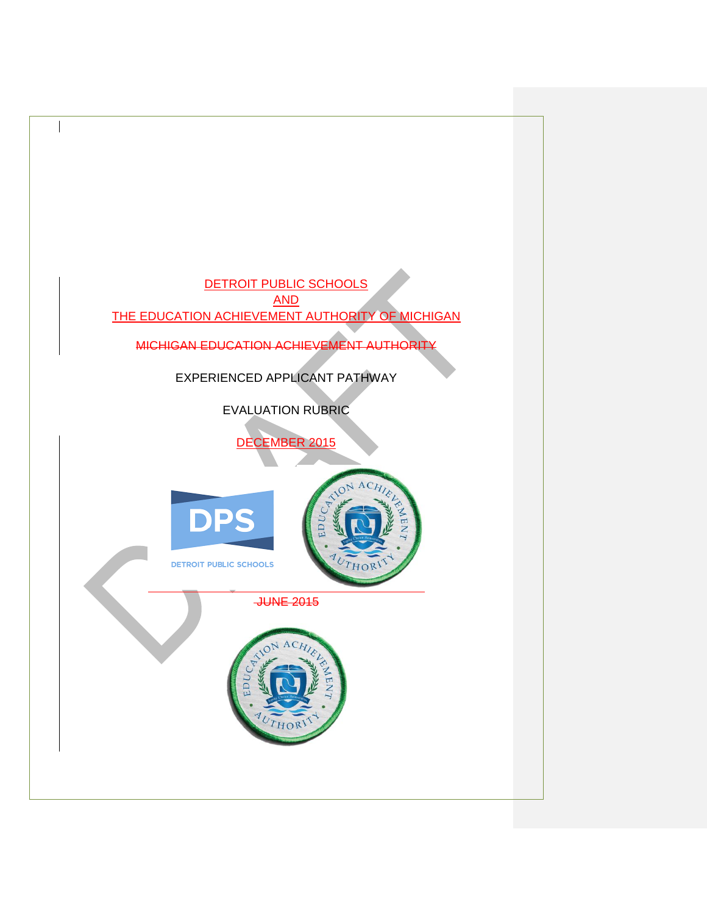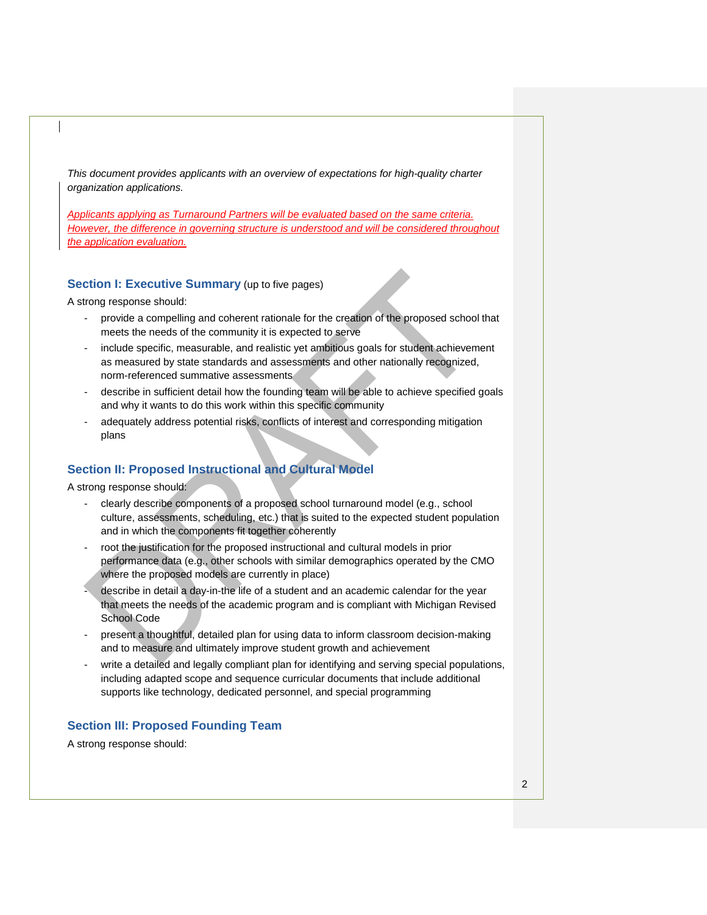*This document provides applicants with an overview of expectations for high-quality charter organization applications.* 

*Applicants applying as Turnaround Partners will be evaluated based on the same criteria. However, the difference in governing structure is understood and will be considered throughout the application evaluation.*

### **Section I: Executive Summary** (up to five pages)

A strong response should:

- provide a compelling and coherent rationale for the creation of the proposed school that meets the needs of the community it is expected to serve
- include specific, measurable, and realistic yet ambitious goals for student achievement as measured by state standards and assessments and other nationally recognized, norm-referenced summative assessments
- describe in sufficient detail how the founding team will be able to achieve specified goals and why it wants to do this work within this specific community
- adequately address potential risks, conflicts of interest and corresponding mitigation plans

## **Section II: Proposed Instructional and Cultural Model**

A strong response should:

- clearly describe components of a proposed school turnaround model (e.g., school culture, assessments, scheduling, etc.) that is suited to the expected student population and in which the components fit together coherently
- root the justification for the proposed instructional and cultural models in prior performance data (e.g., other schools with similar demographics operated by the CMO where the proposed models are currently in place)
- describe in detail a day-in-the life of a student and an academic calendar for the year that meets the needs of the academic program and is compliant with Michigan Revised School Code
- present a thoughtful, detailed plan for using data to inform classroom decision-making and to measure and ultimately improve student growth and achievement
- write a detailed and legally compliant plan for identifying and serving special populations, including adapted scope and sequence curricular documents that include additional supports like technology, dedicated personnel, and special programming

## **Section III: Proposed Founding Team**

A strong response should: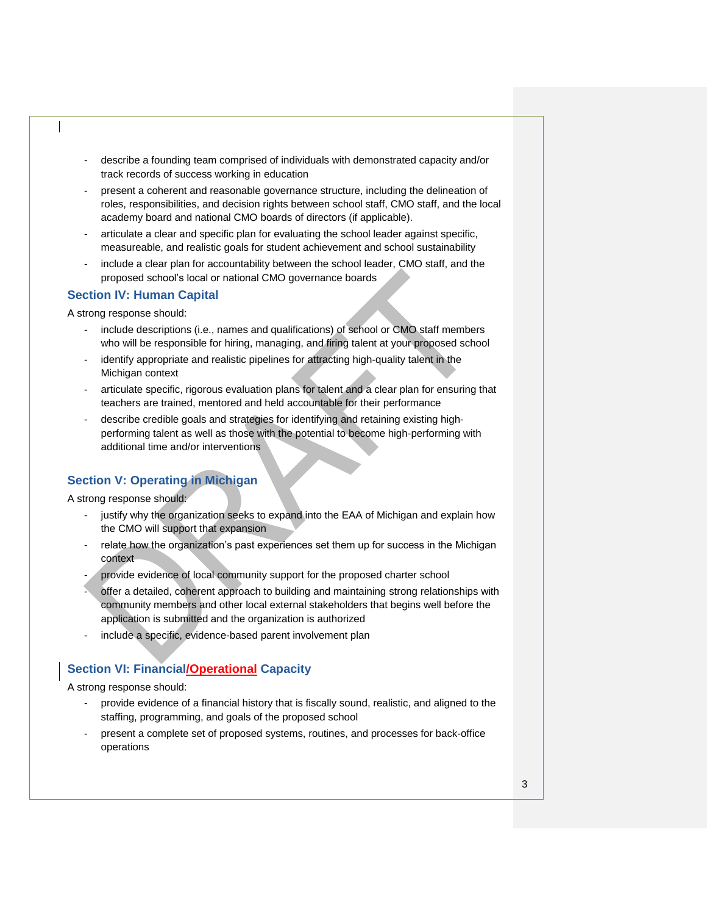- describe a founding team comprised of individuals with demonstrated capacity and/or track records of success working in education
- present a coherent and reasonable governance structure, including the delineation of roles, responsibilities, and decision rights between school staff, CMO staff, and the local academy board and national CMO boards of directors (if applicable).
- articulate a clear and specific plan for evaluating the school leader against specific, measureable, and realistic goals for student achievement and school sustainability
- include a clear plan for accountability between the school leader, CMO staff, and the proposed school's local or national CMO governance boards

## **Section IV: Human Capital**

A strong response should:

- include descriptions (i.e., names and qualifications) of school or CMO staff members who will be responsible for hiring, managing, and firing talent at your proposed school
- identify appropriate and realistic pipelines for attracting high-quality talent in the Michigan context
- articulate specific, rigorous evaluation plans for talent and a clear plan for ensuring that teachers are trained, mentored and held accountable for their performance
- describe credible goals and strategies for identifying and retaining existing highperforming talent as well as those with the potential to become high-performing with additional time and/or interventions

# **Section V: Operating in Michigan**

A strong response should:

- justify why the organization seeks to expand into the EAA of Michigan and explain how the CMO will support that expansion
- relate how the organization's past experiences set them up for success in the Michigan context
- provide evidence of local community support for the proposed charter school
- offer a detailed, coherent approach to building and maintaining strong relationships with community members and other local external stakeholders that begins well before the application is submitted and the organization is authorized
- include a specific, evidence-based parent involvement plan

## **Section VI: Financial/Operational Capacity**

A strong response should:

- provide evidence of a financial history that is fiscally sound, realistic, and aligned to the staffing, programming, and goals of the proposed school
- present a complete set of proposed systems, routines, and processes for back-office operations